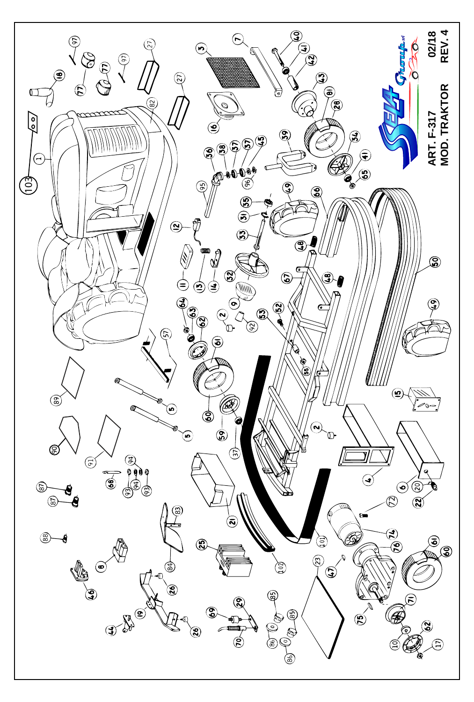